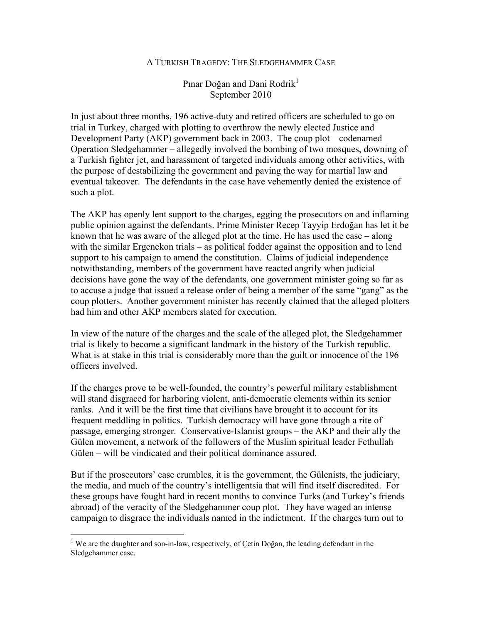## A TURKISH TRAGEDY: THE SLEDGEHAMMER CASE

## Pınar Doğan and Dani Rodrik<sup>1</sup> September 2010

In just about three months, 196 active-duty and retired officers are scheduled to go on trial in Turkey, charged with plotting to overthrow the newly elected Justice and Development Party (AKP) government back in 2003. The coup plot – codenamed Operation Sledgehammer – allegedly involved the bombing of two mosques, downing of a Turkish fighter jet, and harassment of targeted individuals among other activities, with the purpose of destabilizing the government and paving the way for martial law and eventual takeover. The defendants in the case have vehemently denied the existence of such a plot.

The AKP has openly lent support to the charges, egging the prosecutors on and inflaming public opinion against the defendants. Prime Minister Recep Tayyip Erdoğan has let it be known that he was aware of the alleged plot at the time. He has used the case – along with the similar Ergenekon trials – as political fodder against the opposition and to lend support to his campaign to amend the constitution. Claims of judicial independence notwithstanding, members of the government have reacted angrily when judicial decisions have gone the way of the defendants, one government minister going so far as to accuse a judge that issued a release order of being a member of the same "gang" as the coup plotters. Another government minister has recently claimed that the alleged plotters had him and other AKP members slated for execution.

In view of the nature of the charges and the scale of the alleged plot, the Sledgehammer trial is likely to become a significant landmark in the history of the Turkish republic. What is at stake in this trial is considerably more than the guilt or innocence of the 196 officers involved.

If the charges prove to be well-founded, the country's powerful military establishment will stand disgraced for harboring violent, anti-democratic elements within its senior ranks. And it will be the first time that civilians have brought it to account for its frequent meddling in politics. Turkish democracy will have gone through a rite of passage, emerging stronger. Conservative-Islamist groups – the AKP and their ally the Gülen movement, a network of the followers of the Muslim spiritual leader Fethullah Gülen – will be vindicated and their political dominance assured.

But if the prosecutors' case crumbles, it is the government, the Gülenists, the judiciary, the media, and much of the country's intelligentsia that will find itself discredited. For these groups have fought hard in recent months to convince Turks (and Turkey's friends abroad) of the veracity of the Sledgehammer coup plot. They have waged an intense campaign to disgrace the individuals named in the indictment. If the charges turn out to

<sup>&</sup>lt;sup>1</sup> We are the daughter and son-in-law, respectively, of Çetin Doğan, the leading defendant in the Sledgehammer case.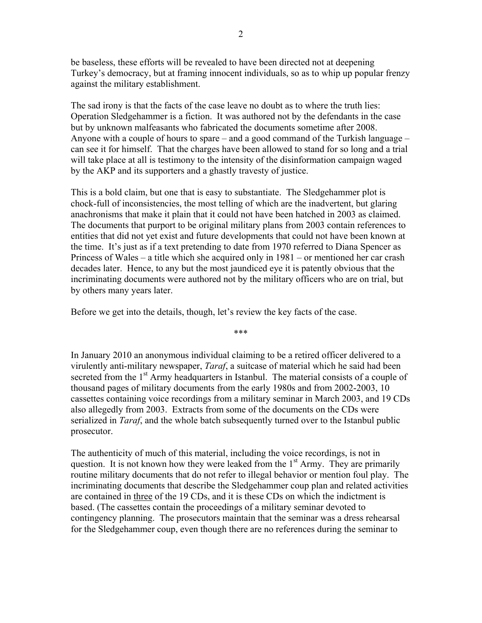be baseless, these efforts will be revealed to have been directed not at deepening Turkey's democracy, but at framing innocent individuals, so as to whip up popular frenzy against the military establishment.

The sad irony is that the facts of the case leave no doubt as to where the truth lies: Operation Sledgehammer is a fiction. It was authored not by the defendants in the case but by unknown malfeasants who fabricated the documents sometime after 2008. Anyone with a couple of hours to spare – and a good command of the Turkish language – can see it for himself. That the charges have been allowed to stand for so long and a trial will take place at all is testimony to the intensity of the disinformation campaign waged by the AKP and its supporters and a ghastly travesty of justice.

This is a bold claim, but one that is easy to substantiate. The Sledgehammer plot is chock-full of inconsistencies, the most telling of which are the inadvertent, but glaring anachronisms that make it plain that it could not have been hatched in 2003 as claimed. The documents that purport to be original military plans from 2003 contain references to entities that did not yet exist and future developments that could not have been known at the time. It's just as if a text pretending to date from 1970 referred to Diana Spencer as Princess of Wales – a title which she acquired only in 1981 – or mentioned her car crash decades later. Hence, to any but the most jaundiced eye it is patently obvious that the incriminating documents were authored not by the military officers who are on trial, but by others many years later.

Before we get into the details, though, let's review the key facts of the case.

In January 2010 an anonymous individual claiming to be a retired officer delivered to a virulently anti-military newspaper, *Taraf*, a suitcase of material which he said had been secreted from the 1<sup>st</sup> Army headquarters in Istanbul. The material consists of a couple of thousand pages of military documents from the early 1980s and from 2002-2003, 10 cassettes containing voice recordings from a military seminar in March 2003, and 19 CDs also allegedly from 2003. Extracts from some of the documents on the CDs were serialized in *Taraf*, and the whole batch subsequently turned over to the Istanbul public prosecutor.

\*\*\*

The authenticity of much of this material, including the voice recordings, is not in question. It is not known how they were leaked from the  $1<sup>st</sup>$  Army. They are primarily routine military documents that do not refer to illegal behavior or mention foul play. The incriminating documents that describe the Sledgehammer coup plan and related activities are contained in three of the 19 CDs, and it is these CDs on which the indictment is based. (The cassettes contain the proceedings of a military seminar devoted to contingency planning. The prosecutors maintain that the seminar was a dress rehearsal for the Sledgehammer coup, even though there are no references during the seminar to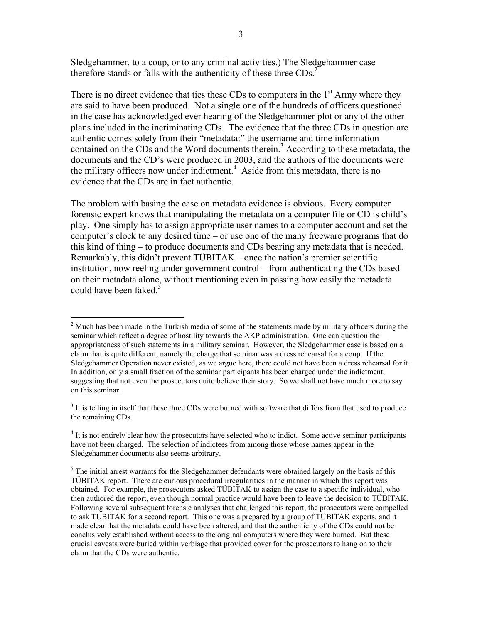Sledgehammer, to a coup, or to any criminal activities.) The Sledgehammer case therefore stands or falls with the authenticity of these three  $CDS<sup>2</sup>$ 

There is no direct evidence that ties these CDs to computers in the  $1<sup>st</sup>$  Army where they are said to have been produced. Not a single one of the hundreds of officers questioned in the case has acknowledged ever hearing of the Sledgehammer plot or any of the other plans included in the incriminating CDs. The evidence that the three CDs in question are authentic comes solely from their "metadata:" the username and time information contained on the CDs and the Word documents therein.<sup>3</sup> According to these metadata, the documents and the CD's were produced in 2003, and the authors of the documents were the military officers now under indictment.<sup>4</sup> Aside from this metadata, there is no evidence that the CDs are in fact authentic.

The problem with basing the case on metadata evidence is obvious. Every computer forensic expert knows that manipulating the metadata on a computer file or CD is child's play. One simply has to assign appropriate user names to a computer account and set the computer's clock to any desired time – or use one of the many freeware programs that do this kind of thing – to produce documents and CDs bearing any metadata that is needed. Remarkably, this didn't prevent TÜBITAK – once the nation's premier scientific institution, now reeling under government control – from authenticating the CDs based on their metadata alone, without mentioning even in passing how easily the metadata could have been faked.<sup>5</sup>

 $\overline{a}$  $2$  Much has been made in the Turkish media of some of the statements made by military officers during the seminar which reflect a degree of hostility towards the AKP administration. One can question the appropriateness of such statements in a military seminar. However, the Sledgehammer case is based on a claim that is quite different, namely the charge that seminar was a dress rehearsal for a coup. If the Sledgehammer Operation never existed, as we argue here, there could not have been a dress rehearsal for it. In addition, only a small fraction of the seminar participants has been charged under the indictment, suggesting that not even the prosecutors quite believe their story. So we shall not have much more to say on this seminar.

 $3$  It is telling in itself that these three CDs were burned with software that differs from that used to produce the remaining CDs.

<sup>&</sup>lt;sup>4</sup> It is not entirely clear how the prosecutors have selected who to indict. Some active seminar participants have not been charged. The selection of indictees from among those whose names appear in the Sledgehammer documents also seems arbitrary.

 $<sup>5</sup>$  The initial arrest warrants for the Sledgehammer defendants were obtained largely on the basis of this</sup> TÜBITAK report. There are curious procedural irregularities in the manner in which this report was obtained. For example, the prosecutors asked TÜBITAK to assign the case to a specific individual, who then authored the report, even though normal practice would have been to leave the decision to TÜBITAK. Following several subsequent forensic analyses that challenged this report, the prosecutors were compelled to ask TÜBITAK for a second report. This one was a prepared by a group of TÜBITAK experts, and it made clear that the metadata could have been altered, and that the authenticity of the CDs could not be conclusively established without access to the original computers where they were burned. But these crucial caveats were buried within verbiage that provided cover for the prosecutors to hang on to their claim that the CDs were authentic.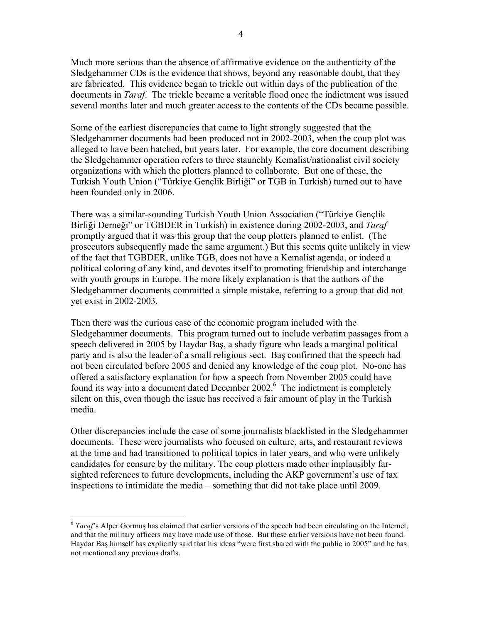Much more serious than the absence of affirmative evidence on the authenticity of the Sledgehammer CDs is the evidence that shows, beyond any reasonable doubt, that they are fabricated. This evidence began to trickle out within days of the publication of the documents in *Taraf*. The trickle became a veritable flood once the indictment was issued several months later and much greater access to the contents of the CDs became possible.

Some of the earliest discrepancies that came to light strongly suggested that the Sledgehammer documents had been produced not in 2002-2003, when the coup plot was alleged to have been hatched, but years later. For example, the core document describing the Sledgehammer operation refers to three staunchly Kemalist/nationalist civil society organizations with which the plotters planned to collaborate. But one of these, the Turkish Youth Union ("Türkiye Gençlik Birliği" or TGB in Turkish) turned out to have been founded only in 2006.

There was a similar-sounding Turkish Youth Union Association ("Türkiye Gençlik Birliği Derneği" or TGBDER in Turkish) in existence during 2002-2003, and *Taraf* promptly argued that it was this group that the coup plotters planned to enlist. (The prosecutors subsequently made the same argument.) But this seems quite unlikely in view of the fact that TGBDER, unlike TGB, does not have a Kemalist agenda, or indeed a political coloring of any kind, and devotes itself to promoting friendship and interchange with youth groups in Europe. The more likely explanation is that the authors of the Sledgehammer documents committed a simple mistake, referring to a group that did not yet exist in 2002-2003.

Then there was the curious case of the economic program included with the Sledgehammer documents. This program turned out to include verbatim passages from a speech delivered in 2005 by Haydar Baş, a shady figure who leads a marginal political party and is also the leader of a small religious sect. Baş confirmed that the speech had not been circulated before 2005 and denied any knowledge of the coup plot. No-one has offered a satisfactory explanation for how a speech from November 2005 could have found its way into a document dated December 2002.<sup>6</sup> The indictment is completely silent on this, even though the issue has received a fair amount of play in the Turkish media.

Other discrepancies include the case of some journalists blacklisted in the Sledgehammer documents. These were journalists who focused on culture, arts, and restaurant reviews at the time and had transitioned to political topics in later years, and who were unlikely candidates for censure by the military. The coup plotters made other implausibly farsighted references to future developments, including the AKP government's use of tax inspections to intimidate the media – something that did not take place until 2009.

<sup>&</sup>lt;sup>6</sup> *Taraf*'s Alper Gormuş has claimed that earlier versions of the speech had been circulating on the Internet, and that the military officers may have made use of those. But these earlier versions have not been found. Haydar Baş himself has explicitly said that his ideas "were first shared with the public in 2005" and he has not mentioned any previous drafts.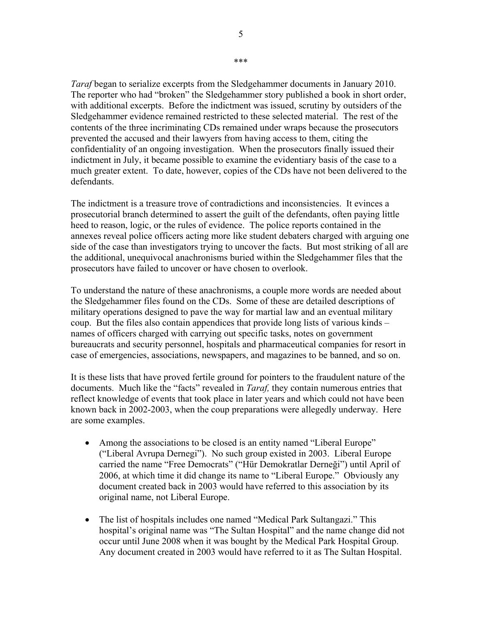*Taraf* began to serialize excerpts from the Sledgehammer documents in January 2010. The reporter who had "broken" the Sledgehammer story published a book in short order, with additional excerpts. Before the indictment was issued, scrutiny by outsiders of the Sledgehammer evidence remained restricted to these selected material. The rest of the contents of the three incriminating CDs remained under wraps because the prosecutors prevented the accused and their lawyers from having access to them, citing the confidentiality of an ongoing investigation. When the prosecutors finally issued their indictment in July, it became possible to examine the evidentiary basis of the case to a much greater extent. To date, however, copies of the CDs have not been delivered to the defendants.

The indictment is a treasure trove of contradictions and inconsistencies. It evinces a prosecutorial branch determined to assert the guilt of the defendants, often paying little heed to reason, logic, or the rules of evidence. The police reports contained in the annexes reveal police officers acting more like student debaters charged with arguing one side of the case than investigators trying to uncover the facts. But most striking of all are the additional, unequivocal anachronisms buried within the Sledgehammer files that the prosecutors have failed to uncover or have chosen to overlook.

To understand the nature of these anachronisms, a couple more words are needed about the Sledgehammer files found on the CDs. Some of these are detailed descriptions of military operations designed to pave the way for martial law and an eventual military coup. But the files also contain appendices that provide long lists of various kinds – names of officers charged with carrying out specific tasks, notes on government bureaucrats and security personnel, hospitals and pharmaceutical companies for resort in case of emergencies, associations, newspapers, and magazines to be banned, and so on.

It is these lists that have proved fertile ground for pointers to the fraudulent nature of the documents. Much like the "facts" revealed in *Taraf,* they contain numerous entries that reflect knowledge of events that took place in later years and which could not have been known back in 2002-2003, when the coup preparations were allegedly underway. Here are some examples.

- Among the associations to be closed is an entity named "Liberal Europe" ("Liberal Avrupa Dernegi"). No such group existed in 2003. Liberal Europe carried the name "Free Democrats" ("Hür Demokratlar Derneği") until April of 2006, at which time it did change its name to "Liberal Europe." Obviously any document created back in 2003 would have referred to this association by its original name, not Liberal Europe.
- The list of hospitals includes one named "Medical Park Sultangazi." This hospital's original name was "The Sultan Hospital" and the name change did not occur until June 2008 when it was bought by the Medical Park Hospital Group. Any document created in 2003 would have referred to it as The Sultan Hospital.

\*\*\*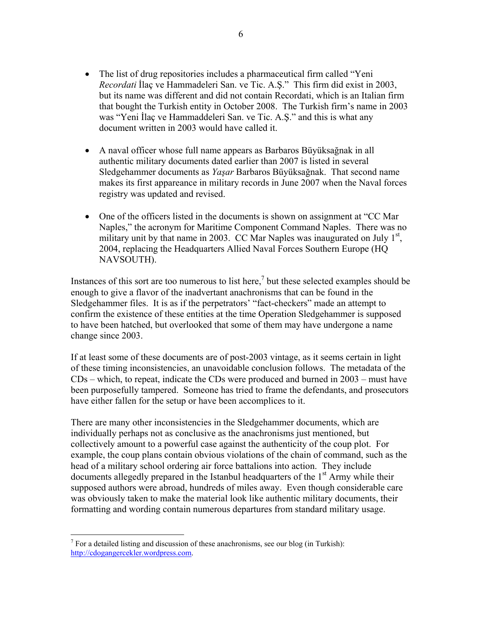- The list of drug repositories includes a pharmaceutical firm called "Yeni *Recordati* İlaç ve Hammadeleri San. ve Tic. A.Ş." This firm did exist in 2003, but its name was different and did not contain Recordati, which is an Italian firm that bought the Turkish entity in October 2008. The Turkish firm's name in 2003 was "Yeni İlaç ve Hammaddeleri San. ve Tic. A.Ş." and this is what any document written in 2003 would have called it.
- A naval officer whose full name appears as Barbaros Büyüksağnak in all authentic military documents dated earlier than 2007 is listed in several Sledgehammer documents as *Yaşar* Barbaros Büyüksağnak. That second name makes its first appareance in military records in June 2007 when the Naval forces registry was updated and revised.
- One of the officers listed in the documents is shown on assignment at "CC Mar Naples," the acronym for Maritime Component Command Naples. There was no military unit by that name in 2003. CC Mar Naples was inaugurated on July  $1<sup>st</sup>$ , 2004, replacing the Headquarters Allied Naval Forces Southern Europe (HQ NAVSOUTH).

Instances of this sort are too numerous to list here,<sup>7</sup> but these selected examples should be enough to give a flavor of the inadvertant anachronisms that can be found in the Sledgehammer files. It is as if the perpetrators' "fact-checkers" made an attempt to confirm the existence of these entities at the time Operation Sledgehammer is supposed to have been hatched, but overlooked that some of them may have undergone a name change since 2003.

If at least some of these documents are of post-2003 vintage, as it seems certain in light of these timing inconsistencies, an unavoidable conclusion follows. The metadata of the CDs – which, to repeat, indicate the CDs were produced and burned in 2003 – must have been purposefully tampered. Someone has tried to frame the defendants, and prosecutors have either fallen for the setup or have been accomplices to it.

There are many other inconsistencies in the Sledgehammer documents, which are individually perhaps not as conclusive as the anachronisms just mentioned, but collectively amount to a powerful case against the authenticity of the coup plot. For example, the coup plans contain obvious violations of the chain of command, such as the head of a military school ordering air force battalions into action. They include documents allegedly prepared in the Istanbul headquarters of the  $1<sup>st</sup>$  Army while their supposed authors were abroad, hundreds of miles away. Even though considerable care was obviously taken to make the material look like authentic military documents, their formatting and wording contain numerous departures from standard military usage.

<sup>&</sup>lt;sup>7</sup> For a detailed listing and discussion of these anachronisms, see our blog (in Turkish): http://cdogangercekler.wordpress.com.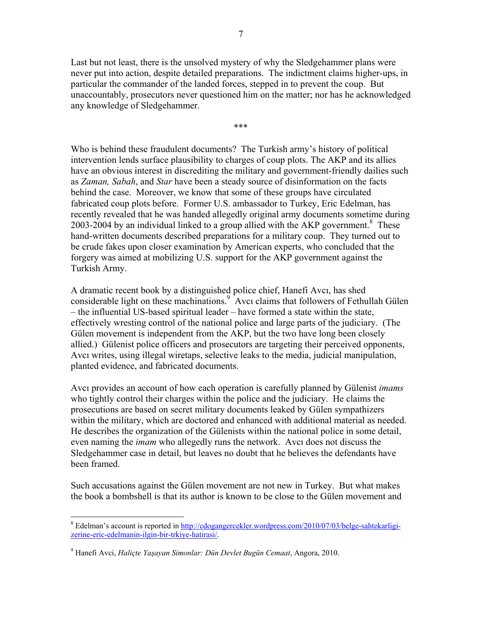Last but not least, there is the unsolved mystery of why the Sledgehammer plans were never put into action, despite detailed preparations. The indictment claims higher-ups, in particular the commander of the landed forces, stepped in to prevent the coup. But unaccountably, prosecutors never questioned him on the matter; nor has he acknowledged any knowledge of Sledgehammer.

\*\*\*

Who is behind these fraudulent documents? The Turkish army's history of political intervention lends surface plausibility to charges of coup plots. The AKP and its allies have an obvious interest in discrediting the military and government-friendly dailies such as *Zaman, Sabah*, and *Star* have been a steady source of disinformation on the facts behind the case. Moreover, we know that some of these groups have circulated fabricated coup plots before. Former U.S. ambassador to Turkey, Eric Edelman, has recently revealed that he was handed allegedly original army documents sometime during 2003-2004 by an individual linked to a group allied with the AKP government.<sup>8</sup> These hand-written documents described preparations for a military coup. They turned out to be crude fakes upon closer examination by American experts, who concluded that the forgery was aimed at mobilizing U.S. support for the AKP government against the Turkish Army.

A dramatic recent book by a distinguished police chief, Hanefi Avcı, has shed considerable light on these machinations.<sup>9</sup> Avcı claims that followers of Fethullah Gülen – the influential US-based spiritual leader – have formed a state within the state, effectively wresting control of the national police and large parts of the judiciary. (The Gülen movement is independent from the AKP, but the two have long been closely allied.) Gülenist police officers and prosecutors are targeting their perceived opponents, Avcı writes, using illegal wiretaps, selective leaks to the media, judicial manipulation, planted evidence, and fabricated documents.

Avcı provides an account of how each operation is carefully planned by Gülenist *imams* who tightly control their charges within the police and the judiciary. He claims the prosecutions are based on secret military documents leaked by Gülen sympathizers within the military, which are doctored and enhanced with additional material as needed. He describes the organization of the Gülenists within the national police in some detail, even naming the *imam* who allegedly runs the network. Avcı does not discuss the Sledgehammer case in detail, but leaves no doubt that he believes the defendants have been framed.

Such accusations against the Gülen movement are not new in Turkey. But what makes the book a bombshell is that its author is known to be close to the Gülen movement and

<sup>&</sup>lt;sup>8</sup> Edelman's account is reported in http://cdogangercekler.wordpress.com/2010/07/03/belge-sahtekarligizerine-eric-edelmanin-ilgin-bir-trkiye-hatirasi/.

<sup>9</sup> Hanefi Avci, *Haliçte Yaşayan Simonlar: Dün Devlet Bugün Cemaat*, Angora, 2010.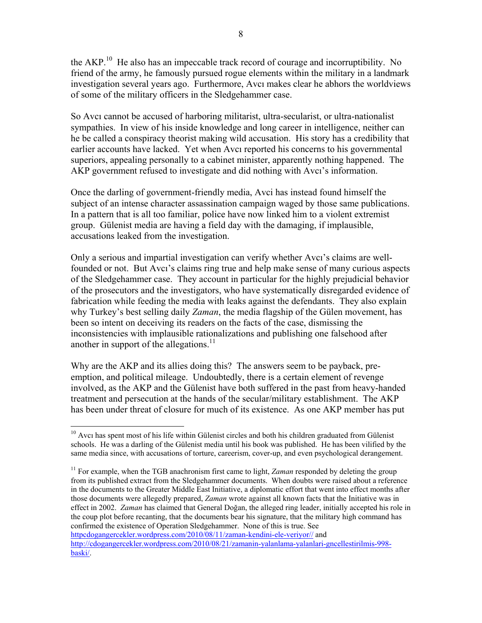the AKP.<sup>10</sup> He also has an impeccable track record of courage and incorruptibility. No friend of the army, he famously pursued rogue elements within the military in a landmark investigation several years ago. Furthermore, Avcı makes clear he abhors the worldviews of some of the military officers in the Sledgehammer case.

So Avcı cannot be accused of harboring militarist, ultra-secularist, or ultra-nationalist sympathies. In view of his inside knowledge and long career in intelligence, neither can he be called a conspiracy theorist making wild accusation. His story has a credibility that earlier accounts have lacked. Yet when Avcı reported his concerns to his governmental superiors, appealing personally to a cabinet minister, apparently nothing happened. The AKP government refused to investigate and did nothing with Avcı's information.

Once the darling of government-friendly media, Avci has instead found himself the subject of an intense character assassination campaign waged by those same publications. In a pattern that is all too familiar, police have now linked him to a violent extremist group. Gülenist media are having a field day with the damaging, if implausible, accusations leaked from the investigation.

Only a serious and impartial investigation can verify whether Avcı's claims are wellfounded or not. But Avcı's claims ring true and help make sense of many curious aspects of the Sledgehammer case. They account in particular for the highly prejudicial behavior of the prosecutors and the investigators, who have systematically disregarded evidence of fabrication while feeding the media with leaks against the defendants. They also explain why Turkey's best selling daily *Zaman*, the media flagship of the Gülen movement, has been so intent on deceiving its readers on the facts of the case, dismissing the inconsistencies with implausible rationalizations and publishing one falsehood after another in support of the allegations.<sup>11</sup>

Why are the AKP and its allies doing this? The answers seem to be payback, preemption, and political mileage. Undoubtedly, there is a certain element of revenge involved, as the AKP and the Gülenist have both suffered in the past from heavy-handed treatment and persecution at the hands of the secular/military establishment. The AKP has been under threat of closure for much of its existence. As one AKP member has put

 $\overline{a}$  $10$  Avcı has spent most of his life within Gülenist circles and both his children graduated from Gülenist schools. He was a darling of the Gülenist media until his book was published. He has been vilified by the same media since, with accusations of torture, careerism, cover-up, and even psychological derangement.

<sup>&</sup>lt;sup>11</sup> For example, when the TGB anachronism first came to light, *Zaman* responded by deleting the group from its published extract from the Sledgehammer documents. When doubts were raised about a reference in the documents to the Greater Middle East Initiative, a diplomatic effort that went into effect months after those documents were allegedly prepared, *Zaman* wrote against all known facts that the Initiative was in effect in 2002. *Zaman* has claimed that General Doğan, the alleged ring leader, initially accepted his role in the coup plot before recanting, that the documents bear his signature, that the military high command has confirmed the existence of Operation Sledgehammer. None of this is true. See httpcdogangercekler.wordpress.com/2010/08/11/zaman-kendini-ele-veriyor// and http://cdogangercekler.wordpress.com/2010/08/21/zamanin-yalanlama-yalanlari-gncellestirilmis-998 baski/.